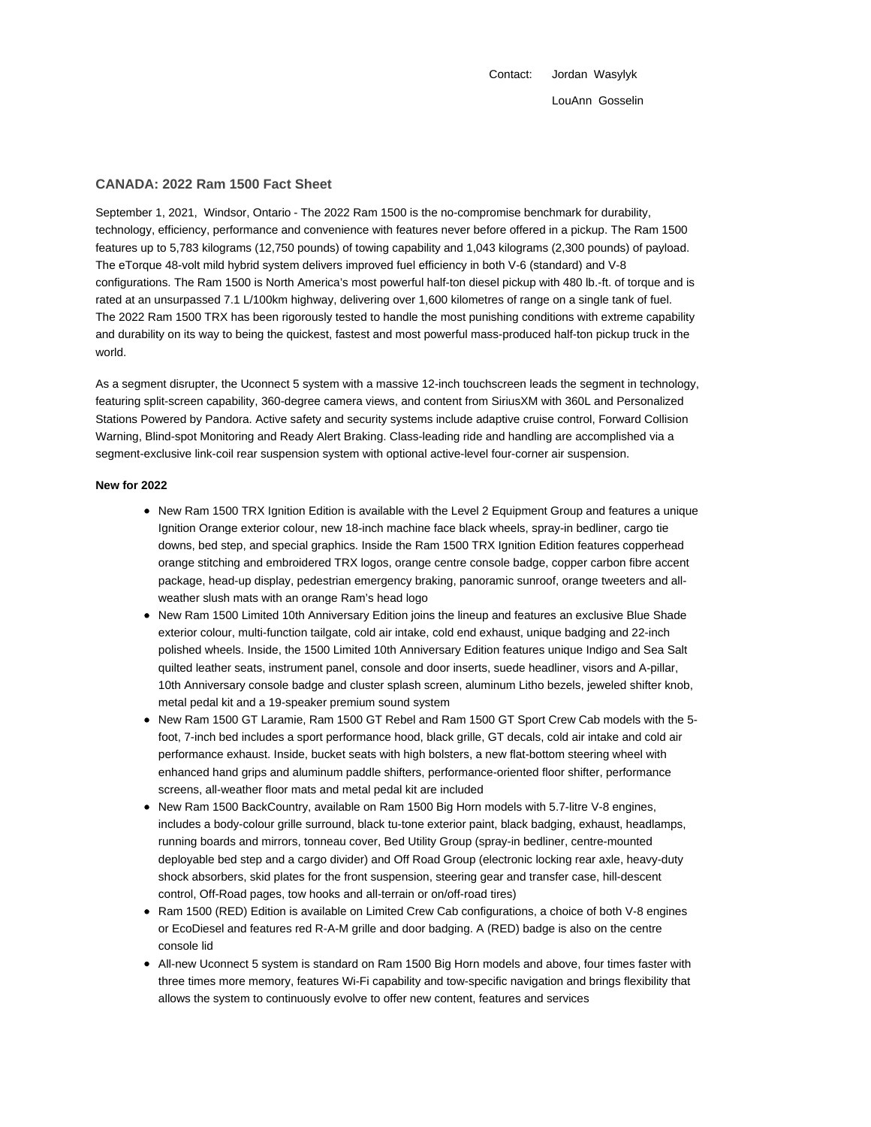Contact: Jordan Wasylyk LouAnn Gosselin

#### **CANADA: 2022 Ram 1500 Fact Sheet**

September 1, 2021, Windsor, Ontario - The 2022 Ram 1500 is the no-compromise benchmark for durability, technology, efficiency, performance and convenience with features never before offered in a pickup. The Ram 1500 features up to 5,783 kilograms (12,750 pounds) of towing capability and 1,043 kilograms (2,300 pounds) of payload. The eTorque 48-volt mild hybrid system delivers improved fuel efficiency in both V-6 (standard) and V-8 configurations. The Ram 1500 is North America's most powerful half-ton diesel pickup with 480 lb.-ft. of torque and is rated at an unsurpassed 7.1 L/100km highway, delivering over 1,600 kilometres of range on a single tank of fuel. The 2022 Ram 1500 TRX has been rigorously tested to handle the most punishing conditions with extreme capability and durability on its way to being the quickest, fastest and most powerful mass-produced half-ton pickup truck in the world.

As a segment disrupter, the Uconnect 5 system with a massive 12-inch touchscreen leads the segment in technology, featuring split-screen capability, 360-degree camera views, and content from SiriusXM with 360L and Personalized Stations Powered by Pandora. Active safety and security systems include adaptive cruise control, Forward Collision Warning, Blind-spot Monitoring and Ready Alert Braking. Class-leading ride and handling are accomplished via a segment-exclusive link-coil rear suspension system with optional active-level four-corner air suspension.

#### **New for 2022**

- New Ram 1500 TRX Ignition Edition is available with the Level 2 Equipment Group and features a unique Ignition Orange exterior colour, new 18-inch machine face black wheels, spray-in bedliner, cargo tie downs, bed step, and special graphics. Inside the Ram 1500 TRX Ignition Edition features copperhead orange stitching and embroidered TRX logos, orange centre console badge, copper carbon fibre accent package, head-up display, pedestrian emergency braking, panoramic sunroof, orange tweeters and allweather slush mats with an orange Ram's head logo
- New Ram 1500 Limited 10th Anniversary Edition joins the lineup and features an exclusive Blue Shade exterior colour, multi-function tailgate, cold air intake, cold end exhaust, unique badging and 22-inch polished wheels. Inside, the 1500 Limited 10th Anniversary Edition features unique Indigo and Sea Salt quilted leather seats, instrument panel, console and door inserts, suede headliner, visors and A-pillar, 10th Anniversary console badge and cluster splash screen, aluminum Litho bezels, jeweled shifter knob, metal pedal kit and a 19-speaker premium sound system
- New Ram 1500 GT Laramie, Ram 1500 GT Rebel and Ram 1500 GT Sport Crew Cab models with the 5 foot, 7-inch bed includes a sport performance hood, black grille, GT decals, cold air intake and cold air performance exhaust. Inside, bucket seats with high bolsters, a new flat-bottom steering wheel with enhanced hand grips and aluminum paddle shifters, performance-oriented floor shifter, performance screens, all-weather floor mats and metal pedal kit are included
- New Ram 1500 BackCountry, available on Ram 1500 Big Horn models with 5.7-litre V-8 engines, includes a body-colour grille surround, black tu-tone exterior paint, black badging, exhaust, headlamps, running boards and mirrors, tonneau cover, Bed Utility Group (spray-in bedliner, centre-mounted deployable bed step and a cargo divider) and Off Road Group (electronic locking rear axle, heavy-duty shock absorbers, skid plates for the front suspension, steering gear and transfer case, hill-descent control, Off-Road pages, tow hooks and all-terrain or on/off-road tires)
- Ram 1500 (RED) Edition is available on Limited Crew Cab configurations, a choice of both V-8 engines or EcoDiesel and features red R-A-M grille and door badging. A (RED) badge is also on the centre console lid
- All-new Uconnect 5 system is standard on Ram 1500 Big Horn models and above, four times faster with three times more memory, features Wi-Fi capability and tow-specific navigation and brings flexibility that allows the system to continuously evolve to offer new content, features and services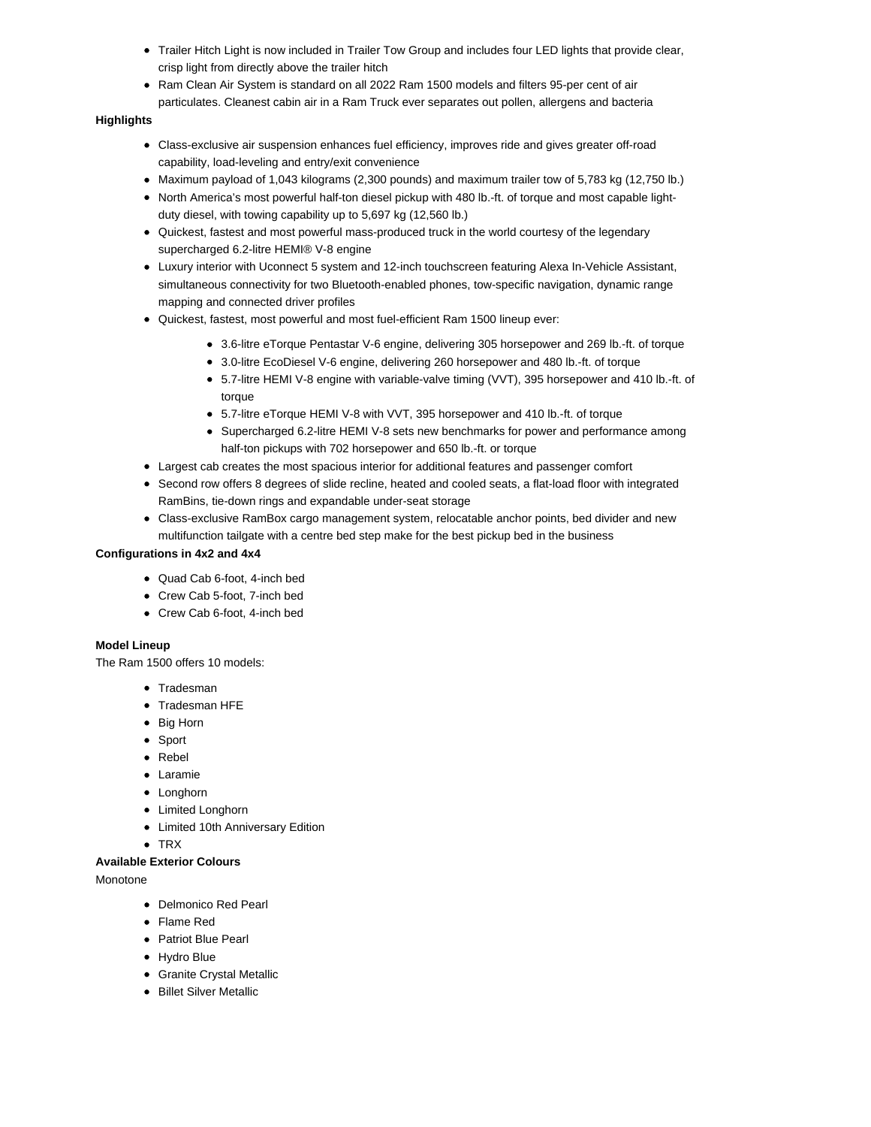- Trailer Hitch Light is now included in Trailer Tow Group and includes four LED lights that provide clear, crisp light from directly above the trailer hitch
- Ram Clean Air System is standard on all 2022 Ram 1500 models and filters 95-per cent of air particulates. Cleanest cabin air in a Ram Truck ever separates out pollen, allergens and bacteria

#### **Highlights**

- Class-exclusive air suspension enhances fuel efficiency, improves ride and gives greater off-road capability, load-leveling and entry/exit convenience
- Maximum payload of 1,043 kilograms (2,300 pounds) and maximum trailer tow of 5,783 kg (12,750 lb.)
- North America's most powerful half-ton diesel pickup with 480 lb.-ft. of torque and most capable lightduty diesel, with towing capability up to 5,697 kg (12,560 lb.)
- Quickest, fastest and most powerful mass-produced truck in the world courtesy of the legendary supercharged 6.2-litre HEMI® V-8 engine
- Luxury interior with Uconnect 5 system and 12-inch touchscreen featuring Alexa In-Vehicle Assistant, simultaneous connectivity for two Bluetooth-enabled phones, tow-specific navigation, dynamic range mapping and connected driver profiles
- Quickest, fastest, most powerful and most fuel-efficient Ram 1500 lineup ever:
	- 3.6-litre eTorque Pentastar V-6 engine, delivering 305 horsepower and 269 lb.-ft. of torque
	- 3.0-litre EcoDiesel V-6 engine, delivering 260 horsepower and 480 lb.-ft. of torque
	- 5.7-litre HEMI V-8 engine with variable-valve timing (VVT), 395 horsepower and 410 lb.-ft. of torque
	- 5.7-litre eTorque HEMI V-8 with VVT, 395 horsepower and 410 lb.-ft. of torque
	- Supercharged 6.2-litre HEMI V-8 sets new benchmarks for power and performance among half-ton pickups with 702 horsepower and 650 lb.-ft. or torque
- Largest cab creates the most spacious interior for additional features and passenger comfort
- Second row offers 8 degrees of slide recline, heated and cooled seats, a flat-load floor with integrated RamBins, tie-down rings and expandable under-seat storage
- Class-exclusive RamBox cargo management system, relocatable anchor points, bed divider and new multifunction tailgate with a centre bed step make for the best pickup bed in the business

## **Configurations in 4x2 and 4x4**

- Quad Cab 6-foot, 4-inch bed
- Crew Cab 5-foot, 7-inch bed
- Crew Cab 6-foot, 4-inch bed

## **Model Lineup**

The Ram 1500 offers 10 models:

- Tradesman
- Tradesman HFE
- Big Horn
- Sport
- Rebel
- Laramie
- Longhorn
- Limited Longhorn
- Limited 10th Anniversary Edition
- TRX

# **Available Exterior Colours**

Monotone

- Delmonico Red Pearl
- Flame Red
- Patriot Blue Pearl
- Hydro Blue
- Granite Crystal Metallic
- Billet Silver Metallic